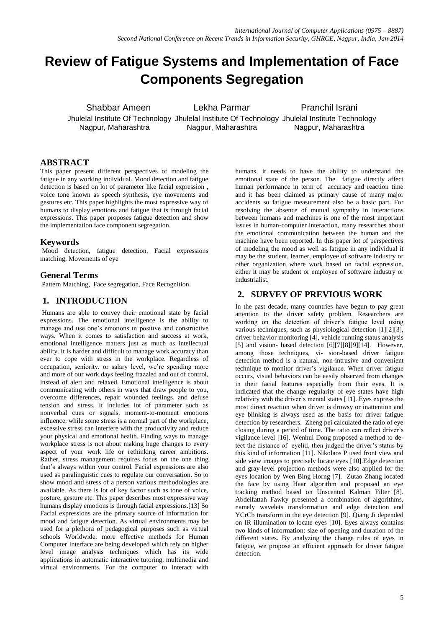# **Review of Fatigue Systems and Implementation of Face Components Segregation**

Shabbar Ameen Lekha Parmar Pranchil Israni

Jhulelal Institute Of Technology Jhulelal Institute Of Technology Jhulelal Institute Technology Nagpur, Maharashtra Nagpur, Maharashtra Nagpur, Maharashtra

## **ABSTRACT**

This paper present different perspectives of modeling the fatigue in any working individual. Mood detection and fatigue detection is based on lot of parameter like facial expression , voice tone known as speech synthesis, eye movements and gestures etc. This paper highlights the most expressive way of humans to display emotions and fatigue that is through facial expressions. This paper proposes fatigue detection and show the implementation face component segregation.

## **Keywords**

Mood detection, fatigue detection, Facial expressions matching, Movements of eye

#### **General Terms**

Pattern Matching, Face segregation, Face Recognition.

## **1. INTRODUCTION**

Humans are able to convey their emotional state by facial expressions. The emotional intelligence is the ability to manage and use one's emotions in positive and constructive ways. When it comes to satisfaction and success at work, emotional intelligence matters just as much as intellectual ability. It is harder and difficult to manage work accuracy than ever to cope with stress in the workplace. Regardless of occupation, seniority, or salary level, we're spending more and more of our work days feeling frazzled and out of control, instead of alert and relaxed. Emotional intelligence is about communicating with others in ways that draw people to you, overcome differences, repair wounded feelings, and defuse tension and stress. It includes lot of parameter such as nonverbal cues or signals, moment-to-moment emotions influence, while some stress is a normal part of the workplace, excessive stress can interfere with the productivity and reduce your physical and emotional health. Finding ways to manage workplace stress is not about making huge changes to every aspect of your work life or rethinking career ambitions. Rather, stress management requires focus on the one thing that's always within your control. Facial expressions are also used as paralinguistic cues to regulate our conversation. So to show mood and stress of a person various methodologies are available. As there is lot of key factor such as tone of voice, posture, gesture etc. This paper describes most expressive way humans display emotions is through facial expressions.[13] So Facial expressions are the primary source of information for mood and fatigue detection. As virtual environments may be used for a plethora of pedagogical purposes such as virtual schools Worldwide, more effective methods for Human Computer Interface are being developed which rely on higher level image analysis techniques which has its wide applications in automatic interactive tutoring, multimedia and virtual environments. For the computer to interact with

humans, it needs to have the ability to understand the emotional state of the person. The fatigue directly affect human performance in term of accuracy and reaction time and it has been claimed as primary cause of many major accidents so fatigue measurement also be a basic part. For resolving the absence of mutual sympathy in interactions between humans and machines is one of the most important issues in human-computer interaction, many researches about the emotional communication between the human and the machine have been reported. In this paper lot of perspectives of modeling the mood as well as fatigue in any individual it may be the student, learner, employee of software industry or other organization where work based on facial expression, either it may be student or employee of software industry or industrialist.

## **2. SURVEY OF PREVIOUS WORK**

In the past decade, many countries have begun to pay great attention to the driver safety problem. Researchers are working on the detection of driver's fatigue level using various techniques, such as physiological detection [1][2][3], driver behavior monitoring [4], vehicle running status analysis [5] and vision- based detection [6][7][8][9][14]. However, among those techniques, vi- sion-based driver fatigue detection method is a natural, non-intrusive and convenient technique to monitor driver's vigilance. When driver fatigue occurs, visual behaviors can be easily observed from changes in their facial features especially from their eyes. It is indicated that the change regularity of eye states have high relativity with the driver's mental states [11]. Eyes express the most direct reaction when driver is drowsy or inattention and eye blinking is always used as the basis for driver fatigue detection by researchers. Zheng pei calculated the ratio of eye closing during a period of time. The ratio can reflect driver's vigilance level [16]. Wenhui Dong proposed a method to detect the distance of eyelid, then judged the driver's status by this kind of information [11]. Nikolaos P used front view and side view images to precisely locate eyes [10].Edge detection and gray-level projection methods were also applied for the eyes location by Wen Bing Horng [7]. Zutao Zhang located the face by using Haar algorithm and proposed an eye tracking method based on Unscented Kalman Filter [8]. Abdelfattah Fawky presented a combination of algorithms, namely wavelets transformation and edge detection and YCrCb transform in the eye detection [9]. Qiang Ji depended on IR illumination to locate eyes [10]. Eyes always contains two kinds of information: size of opening and duration of the different states. By analyzing the change rules of eyes in fatigue, we propose an efficient approach for driver fatigue detection.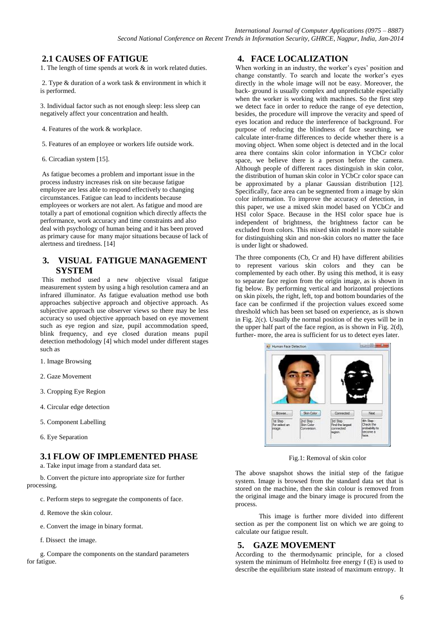## **2.1 CAUSES OF FATIGUE**

1. The length of time spends at work & in work related duties.

2. Type & duration of a work task & environment in which it is performed.

3. Individual factor such as not enough sleep: less sleep can negatively affect your concentration and health.

- 4. Features of the work & workplace.
- 5. Features of an employee or workers life outside work.
- 6. Circadian system [15].

As fatigue becomes a problem and important issue in the process industry increases risk on site because fatigue employee are less able to respond effectively to changing circumstances. Fatigue can lead to incidents because employees or workers are not alert. As fatigue and mood are totally a part of emotional cognition which directly affects the performance, work accuracy and time constraints and also deal with psychology of human being and it has been proved as primary cause for many major situations because of lack of alertness and tiredness. [14]

## **3. VISUAL FATIGUE MANAGEMENT SYSTEM**

This method used a new objective visual fatigue measurement system by using a high resolution camera and an infrared illuminator. As fatigue evaluation method use both approaches subjective approach and objective approach. As subjective approach use observer views so there may be less accuracy so used objective approach based on eye movement such as eye region and size, pupil accommodation speed, blink frequency, and eye closed duration means pupil detection methodology [4] which model under different stages such as

- 1. Image Browsing
- 2. Gaze Movement
- 3. Cropping Eye Region
- 4. Circular edge detection
- 5. Component Labelling
- 6. Eye Separation

## **3.1 FLOW OF IMPLEMENTED PHASE**

a. Take input image from a standard data set.

b. Convert the picture into appropriate size for further processing.

- c. Perform steps to segregate the components of face.
- d. Remove the skin colour.
- e. Convert the image in binary format.
- f. Dissect the image.

g. Compare the components on the standard parameters for fatigue.

## **4. FACE LOCALIZATION**

When working in an industry, the worker's eyes' position and change constantly. To search and locate the worker's eyes directly in the whole image will not be easy. Moreover, the back- ground is usually complex and unpredictable especially when the worker is working with machines. So the first step we detect face in order to reduce the range of eye detection, besides, the procedure will improve the veracity and speed of eyes location and reduce the interference of background. For purpose of reducing the blindness of face searching, we calculate inter-frame differences to decide whether there is a moving object. When some object is detected and in the local area there contains skin color information in YCbCr color space, we believe there is a person before the camera. Although people of different races distinguish in skin color, the distribution of human skin color in YCbCr color space can be approximated by a planar Gaussian distribution [12]. Specifically, face area can be segmented from a image by skin color information. To improve the accuracy of detection, in this paper, we use a mixed skin model based on YCbCr and HSI color Space. Because in the HSI color space hue is independent of brightness, the brightness factor can be excluded from colors. This mixed skin model is more suitable for distinguishing skin and non-skin colors no matter the face is under light or shadowed.

The three components (Cb, Cr and H) have different abilities to represent various skin colors and they can be complemented by each other. By using this method, it is easy to separate face region from the origin image, as is shown in fig below. By performing vertical and horizontal projections on skin pixels, the right, left, top and bottom boundaries of the face can be confirmed if the projection values exceed some threshold which has been set based on experience, as is shown in Fig. 2(c). Usually the normal position of the eyes will be in the upper half part of the face region, as is shown in Fig. 2(d), further- more, the area is sufficient for us to detect eyes later.



Fig.1: Removal of skin color

The above snapshot shows the initial step of the fatigue system. Image is browsed from the standard data set that is stored on the machine, then the skin colour is removed from the original image and the binary image is procured from the process.

 This image is further more divided into different section as per the component list on which we are going to calculate our fatigue result.

## **5. GAZE MOVEMENT**

According to the thermodynamic principle, for a closed system the minimum of Helmholtz free energy f (E) is used to describe the equilibrium state instead of maximum entropy. It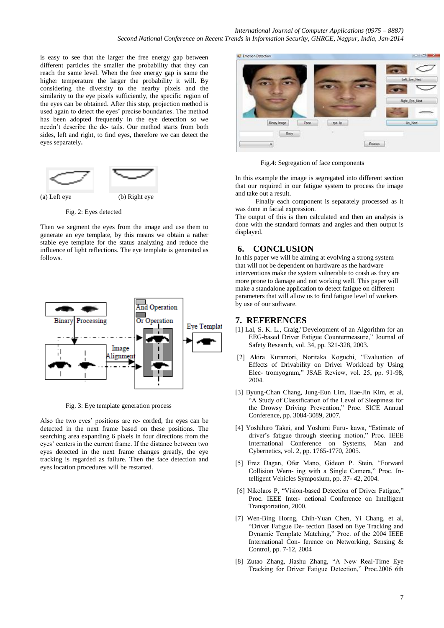is easy to see that the larger the free energy gap between different particles the smaller the probability that they can reach the same level. When the free energy gap is same the higher temperature the larger the probability it will. By considering the diversity to the nearby pixels and the similarity to the eye pixels sufficiently, the specific region of the eyes can be obtained. After this step, projection method is used again to detect the eyes' precise boundaries. The method has been adopted frequently in the eye detection so we needn't describe the de- tails. Our method starts from both sides, left and right, to find eyes, therefore we can detect the eyes separately**.** 



Fig. 2: Eyes detected

Then we segment the eyes from the image and use them to generate an eye template, by this means we obtain a rather stable eye template for the status analyzing and reduce the influence of light reflections. The eye template is generated as follows.



Fig. 3: Eye template generation process

Also the two eyes' positions are re- corded, the eyes can be detected in the next frame based on these positions. The searching area expanding 6 pixels in four directions from the eyes' centers in the current frame. If the distance between two eyes detected in the next frame changes greatly, the eye tracking is regarded as failure. Then the face detection and eyes location procedures will be restarted.



Fig.4: Segregation of face components

In this example the image is segregated into different section that our required in our fatigue system to process the image and take out a result.

 Finally each component is separately processed as it was done in facial expression.

The output of this is then calculated and then an analysis is done with the standard formats and angles and then output is displayed.

## **6. CONCLUSION**

In this paper we will be aiming at evolving a strong system that will not be dependent on hardware as the hardware interventions make the system vulnerable to crash as they are more prone to damage and not working well. This paper will make a standalone application to detect fatigue on different parameters that will allow us to find fatigue level of workers by use of our software.

## **7. REFERENCES**

- [1] Lal, S. K. L., Craig,"Development of an Algorithm for an EEG-based Driver Fatigue Countermeasure," Journal of Safety Research, vol. 34, pp. 321-328, 2003.
- [2] Akira Kuramori, Noritaka Koguchi, "Evaluation of Effects of Drivability on Driver Workload by Using Elec- tromyogram," JSAE Review, vol. 25, pp. 91-98, 2004.
- [3] Byung-Chan Chang, Jung-Eun Lim, Hae-Jin Kim, et al, "A Study of Classification of the Level of Sleepiness for the Drowsy Driving Prevention," Proc. SICE Annual Conference, pp. 3084-3089, 2007.
- [4] Yoshihiro Takei, and Yoshimi Furu- kawa, "Estimate of driver's fatigue through steering motion," Proc. IEEE International Conference on Systems, Man and Cybernetics, vol. 2, pp. 1765-1770, 2005.
- [5] Erez Dagan, Ofer Mano, Gideon P. Stein, "Forward Collision Warn- ing with a Single Camera," Proc. Intelligent Vehicles Symposium, pp. 37- 42, 2004.
- [6] Nikolaos P, "Vision-based Detection of Driver Fatigue," Proc. IEEE Inter- netional Conference on Intelligent Transportation, 2000.
- [7] Wen-Bing Horng, Chih-Yuan Chen, Yi Chang, et al, "Driver Fatigue De- tection Based on Eye Tracking and Dynamic Template Matching," Proc. of the 2004 IEEE International Con- ference on Networking, Sensing & Control, pp. 7-12, 2004
- [8] Zutao Zhang, Jiashu Zhang, "A New Real-Time Eye Tracking for Driver Fatigue Detection," Proc.2006 6th